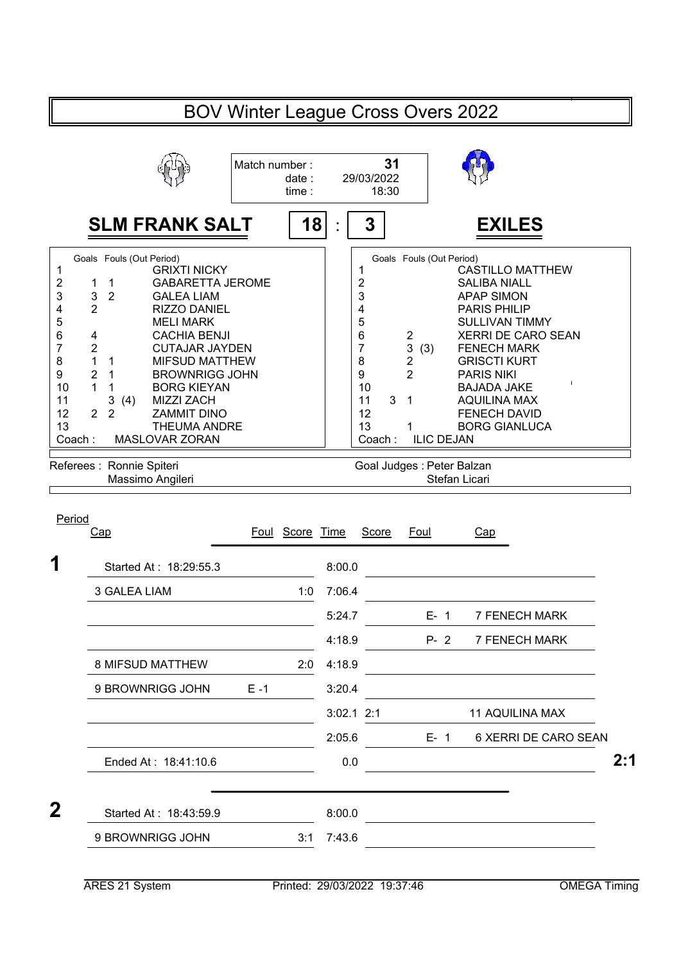| 31<br>Match number:<br>29/03/2022<br>date:<br>18:30<br>time:<br>18<br>3<br><b>SLM FRANK SALT</b><br><b>EXILES</b><br>Goals Fouls (Out Period)<br>Goals Fouls (Out Period)<br><b>GRIXTI NICKY</b><br>1<br>1<br><b>CASTILLO MATTHEW</b>                                                                                                                                                                                                                                                                                                                                                                                                                                                                                                                                                                                                                                                                                                                                                                                                                                             |     |
|-----------------------------------------------------------------------------------------------------------------------------------------------------------------------------------------------------------------------------------------------------------------------------------------------------------------------------------------------------------------------------------------------------------------------------------------------------------------------------------------------------------------------------------------------------------------------------------------------------------------------------------------------------------------------------------------------------------------------------------------------------------------------------------------------------------------------------------------------------------------------------------------------------------------------------------------------------------------------------------------------------------------------------------------------------------------------------------|-----|
|                                                                                                                                                                                                                                                                                                                                                                                                                                                                                                                                                                                                                                                                                                                                                                                                                                                                                                                                                                                                                                                                                   |     |
|                                                                                                                                                                                                                                                                                                                                                                                                                                                                                                                                                                                                                                                                                                                                                                                                                                                                                                                                                                                                                                                                                   |     |
| $\overline{\mathbf{c}}$<br><b>GABARETTA JEROME</b><br>2<br><b>SALIBA NIALL</b><br>1<br>1<br>3<br>3<br>$\overline{2}$<br>3<br><b>GALEA LIAM</b><br><b>APAP SIMON</b><br>4<br>$\overline{2}$<br>4<br><b>PARIS PHILIP</b><br><b>RIZZO DANIEL</b><br>5<br>5<br><b>MELI MARK</b><br><b>SULLIVAN TIMMY</b><br>6<br>6<br><b>XERRI DE CARO SEAN</b><br><b>CACHIA BENJI</b><br>2<br>4<br>$\overline{7}$<br>3<br>$\overline{7}$<br>$\overline{2}$<br><b>FENECH MARK</b><br><b>CUTAJAR JAYDEN</b><br>(3)<br>8<br>1<br>2<br>8<br><b>GRISCTI KURT</b><br>$\mathbf{1}$<br><b>MIFSUD MATTHEW</b><br>$\overline{2}$<br>9<br>$\overline{2}$<br><b>BROWNRIGG JOHN</b><br>9<br><b>PARIS NIKI</b><br>1<br>10<br>1<br><b>BORG KIEYAN</b><br>10<br><b>BAJADA JAKE</b><br>$\mathbf 1$<br>3<br>3<br><b>MIZZI ZACH</b><br>11<br>$\overline{1}$<br><b>AQUILINA MAX</b><br>11<br>(4)<br>$\overline{2}$<br>$\overline{2}$<br>12<br><b>ZAMMIT DINO</b><br>12<br><b>FENECH DAVID</b><br>13<br>13<br><b>THEUMA ANDRE</b><br><b>BORG GIANLUCA</b><br>1<br>MASLOVAR ZORAN<br>Coach:<br>Coach:<br><b>ILIC DEJAN</b> |     |
| Referees : Ronnie Spiteri<br>Goal Judges : Peter Balzan<br>Stefan Licari<br>Massimo Angileri                                                                                                                                                                                                                                                                                                                                                                                                                                                                                                                                                                                                                                                                                                                                                                                                                                                                                                                                                                                      |     |
| Period<br>Score Time<br>Cap<br>Score<br>Foul<br>Foul<br>Cap                                                                                                                                                                                                                                                                                                                                                                                                                                                                                                                                                                                                                                                                                                                                                                                                                                                                                                                                                                                                                       |     |
| 1<br>8:00.0<br>Started At: 18:29:55.3                                                                                                                                                                                                                                                                                                                                                                                                                                                                                                                                                                                                                                                                                                                                                                                                                                                                                                                                                                                                                                             |     |
| 3 GALEA LIAM<br>7:06.4<br>1:0                                                                                                                                                                                                                                                                                                                                                                                                                                                                                                                                                                                                                                                                                                                                                                                                                                                                                                                                                                                                                                                     |     |
| 5:24.7<br><b>7 FENECH MARK</b><br>$E - 1$                                                                                                                                                                                                                                                                                                                                                                                                                                                                                                                                                                                                                                                                                                                                                                                                                                                                                                                                                                                                                                         |     |
| 4:18.9<br>$P - 2$<br>7 FENECH MARK                                                                                                                                                                                                                                                                                                                                                                                                                                                                                                                                                                                                                                                                                                                                                                                                                                                                                                                                                                                                                                                |     |
| 4:18.9<br>8 MIFSUD MATTHEW<br>2:0                                                                                                                                                                                                                                                                                                                                                                                                                                                                                                                                                                                                                                                                                                                                                                                                                                                                                                                                                                                                                                                 |     |
| 9 BROWNRIGG JOHN<br>$E - 1$<br>3:20.4                                                                                                                                                                                                                                                                                                                                                                                                                                                                                                                                                                                                                                                                                                                                                                                                                                                                                                                                                                                                                                             |     |
| $3:02.1$ 2:1<br><b>11 AQUILINA MAX</b>                                                                                                                                                                                                                                                                                                                                                                                                                                                                                                                                                                                                                                                                                                                                                                                                                                                                                                                                                                                                                                            |     |
| 2:05.6<br>$E-1$<br>6 XERRI DE CARO SEAN<br>Ended At: 18:41:10.6<br>0.0                                                                                                                                                                                                                                                                                                                                                                                                                                                                                                                                                                                                                                                                                                                                                                                                                                                                                                                                                                                                            | 2:1 |
| 2<br>Started At: 18:43:59.9<br>8:00.0                                                                                                                                                                                                                                                                                                                                                                                                                                                                                                                                                                                                                                                                                                                                                                                                                                                                                                                                                                                                                                             |     |
| 9 BROWNRIGG JOHN<br>7:43.6<br>3:1                                                                                                                                                                                                                                                                                                                                                                                                                                                                                                                                                                                                                                                                                                                                                                                                                                                                                                                                                                                                                                                 |     |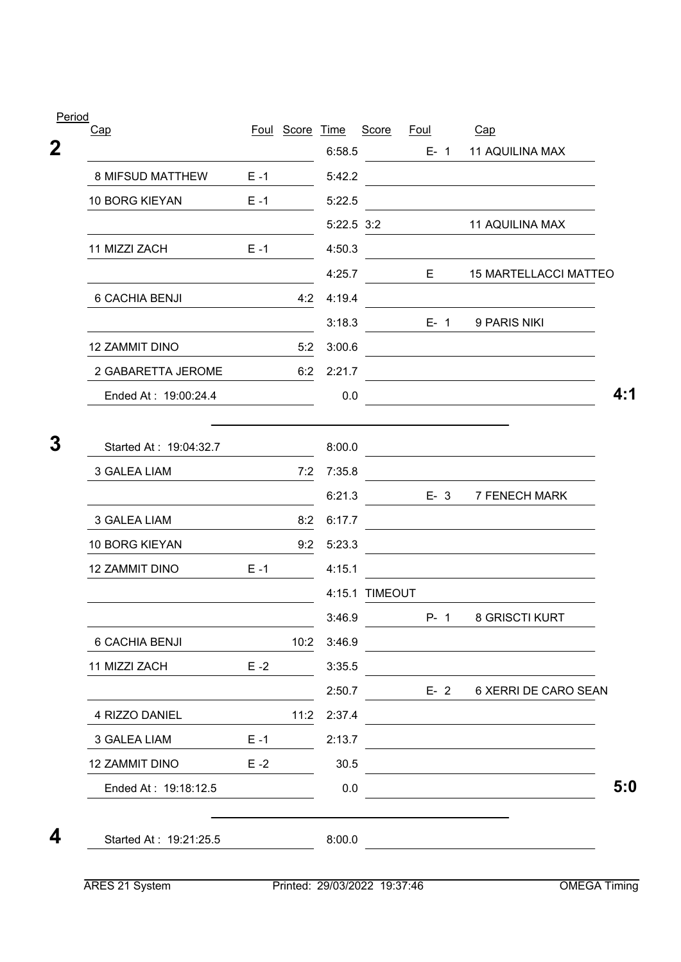| Period<br><u>Cap</u>    |         | Foul Score Time |            | Score          | Foul |         | Cap                                                                                           |
|-------------------------|---------|-----------------|------------|----------------|------|---------|-----------------------------------------------------------------------------------------------|
|                         |         |                 | 6:58.5     |                |      | $E - 1$ | <b>11 AQUILINA MAX</b>                                                                        |
| <b>8 MIFSUD MATTHEW</b> | $E - 1$ |                 | 5:42.2     |                |      |         |                                                                                               |
| 10 BORG KIEYAN          | $E - 1$ |                 | 5:22.5     |                |      |         |                                                                                               |
|                         |         |                 | 5:22.5 3:2 |                |      |         | <b>11 AQUILINA MAX</b>                                                                        |
| 11 MIZZI ZACH           | $E - 1$ |                 | 4:50.3     |                |      |         |                                                                                               |
|                         |         |                 | 4:25.7     |                | E    |         | <b>15 MARTELLACCI MATTEO</b>                                                                  |
| 6 CACHIA BENJI          |         | 4:2             | 4:19.4     |                |      |         |                                                                                               |
|                         |         |                 | 3:18.3     |                |      | E-1     | 9 PARIS NIKI                                                                                  |
| 12 ZAMMIT DINO          |         | 5:2             | 3:00.6     |                |      |         |                                                                                               |
| 2 GABARETTA JEROME      |         | 6:2             | 2:21.7     |                |      |         |                                                                                               |
| Ended At: 19:00:24.4    |         |                 | 0.0        |                |      |         |                                                                                               |
| Started At: 19:04:32.7  |         |                 | 8:00.0     |                |      |         |                                                                                               |
| 3 GALEA LIAM            |         | 7:2             | 7:35.8     |                |      |         |                                                                                               |
|                         |         |                 | 6:21.3     |                |      | $E - 3$ | 7 FENECH MARK                                                                                 |
| 3 GALEA LIAM            |         | 8:2             | 6:17.7     |                |      |         |                                                                                               |
| <b>10 BORG KIEYAN</b>   |         | 9:2             | 5:23.3     |                |      |         |                                                                                               |
| 12 ZAMMIT DINO          | $E - 1$ |                 | 4:15.1     |                |      |         |                                                                                               |
|                         |         |                 |            | 4:15.1 TIMEOUT |      |         |                                                                                               |
|                         |         |                 | 3:46.9     |                |      | $P - 1$ | 8 GRISCTI KURT                                                                                |
| 6 CACHIA BENJI          |         | 10:2            | 3:46.9     |                |      |         |                                                                                               |
| 11 MIZZI ZACH           | $E - 2$ |                 | 3:35.5     |                |      |         |                                                                                               |
|                         |         |                 | 2:50.7     |                |      | $E - 2$ | 6 XERRI DE CARO SEAN                                                                          |
| 4 RIZZO DANIEL          |         | 11:2            | 2:37.4     |                |      |         | the control of the control of the control of the control of the control of                    |
| 3 GALEA LIAM            | $E - 1$ |                 | 2:13.7     |                |      |         | and the control of the control of the control of the control of the control of the control of |
| 12 ZAMMIT DINO          | $E - 2$ |                 | 30.5       |                |      |         |                                                                                               |
| Ended At: 19:18:12.5    |         |                 | 0.0        |                |      |         |                                                                                               |
| Started At: 19:21:25.5  |         |                 | 8:00.0     |                |      |         |                                                                                               |